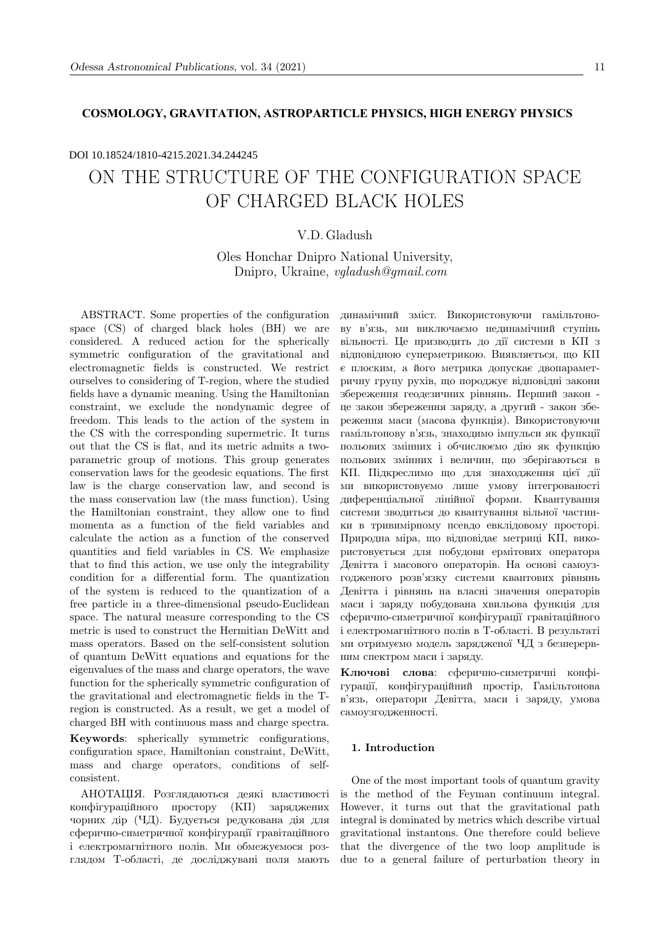## **COSMOLOGY, GRAVITATION, ASTROPARTICLE PHYSICS, HIGH ENERGY PHYSICS**

# ON THE STRUCTURE OF THE CONFIGURATION SPACE OF CHARGED BLACK HOLES DOI 10.18524/1810-4215.2021.34.244245

# V.D. Gladush

Oles Honchar Dnipro National University, Dnipro, Ukraine, vgladush@gmail.com

ABSTRACT. Some properties of the configuration space (CS) of charged black holes (BH) we are considered. A reduced action for the spherically symmetric configuration of the gravitational and electromagnetic fields is constructed. We restrict ourselves to considering of T-region, where the studied fields have a dynamic meaning. Using the Hamiltonian constraint, we exclude the nondynamic degree of freedom. This leads to the action of the system in the CS with the corresponding supermetric. It turns out that the CS is flat, and its metric admits a twoparametric group of motions. This group generates conservation laws for the geodesic equations. The first law is the charge conservation law, and second is the mass conservation law (the mass function). Using the Hamiltonian constraint, they allow one to find momenta as a function of the field variables and calculate the action as a function of the conserved quantities and field variables in CS. We emphasize that to find this action, we use only the integrability condition for a differential form. The quantization of the system is reduced to the quantization of a free particle in a three-dimensional pseudo-Euclidean space. The natural measure corresponding to the CS metric is used to construct the Hermitian DeWitt and mass operators. Based on the self-consistent solution of quantum DeWitt equations and equations for the eigenvalues of the mass and charge operators, the wave function for the spherically symmetric configuration of the gravitational and electromagnetic fields in the Tregion is constructed. As a result, we get a model of charged BH with continuous mass and charge spectra.

Keywords: spherically symmetric configurations, configuration space, Hamiltonian constraint, DeWitt, mass and charge operators, conditions of selfconsistent.

АНОТАЦIЯ. Розглядаються деякi властивостi конфiгурацiйного простору (КП) заряджених чорних дiр (ЧД). Будується редукована дiя для сферично-симетричної конфiгурацiї гравiтацiйного i електромагнiтного полiв. Ми обмежуємося розглядом Т-областi, де дослiджуванi поля мають динамiчний змiст. Використовуючи гамiльтонову в'язь, ми виключаємо нединамiчний ступiнь вiльностi. Це призводить до дiї системи в КП з вiдповiдною суперметрикою. Виявляється, що КП є плоским, а його метрика допускає двопараметричну групу рухiв, що породжує вiдповiднi закони збереження геодезичних рiвнянь. Перший закон це закон збереження заряду, а другий - закон збереження маси (масова функцiя). Використовуючи гамiльтонову в'язь, знаходимо iмпульси як функцiї польових змiнних i обчислюємо дiю як функцiю польових змiнних i величин, що зберiгаються в КП. Пiдкреслимо що для знаходження цiєї дiї ми використовуємо лише умову iнтегрованостi диференцiальної лiнiйної форми. Квантування системи зводиться до квантування вiльної частинки в тривимiрному псевдо евклiдовому просторi. Природна мiра, що вiдповiдає метрицi КП, використовується для побудови ермiтових оператора Девiтта i масового операторiв. На основi самоузгодженого розв'язку системи квантових рiвнянь Девiтта i рiвнянь на власнi значення операторiв маси i заряду побудована хвильова функцiя для сферично-симетричної конфiгурацiї гравiтацiйного i електромагнiтного полiв в Т-областi. В результатi ми отримуємо модель зарядженої ЧД з безперервним спектром маси i заряду.

Ключовi слова: сферично-симетричнi конфiгурацiї, конфiгурацiйний простiр, Гамiльтонова в'язь, оператори Девiтта, маси i заряду, умова самоузгодженностi.

### 1. Introduction

One of the most important tools of quantum gravity is the method of the Feyman continuum integral. However, it turns out that the gravitational path integral is dominated by metrics which describe virtual gravitational instantons. One therefore could believe that the divergence of the two loop amplitude is due to a general failure of perturbation theory in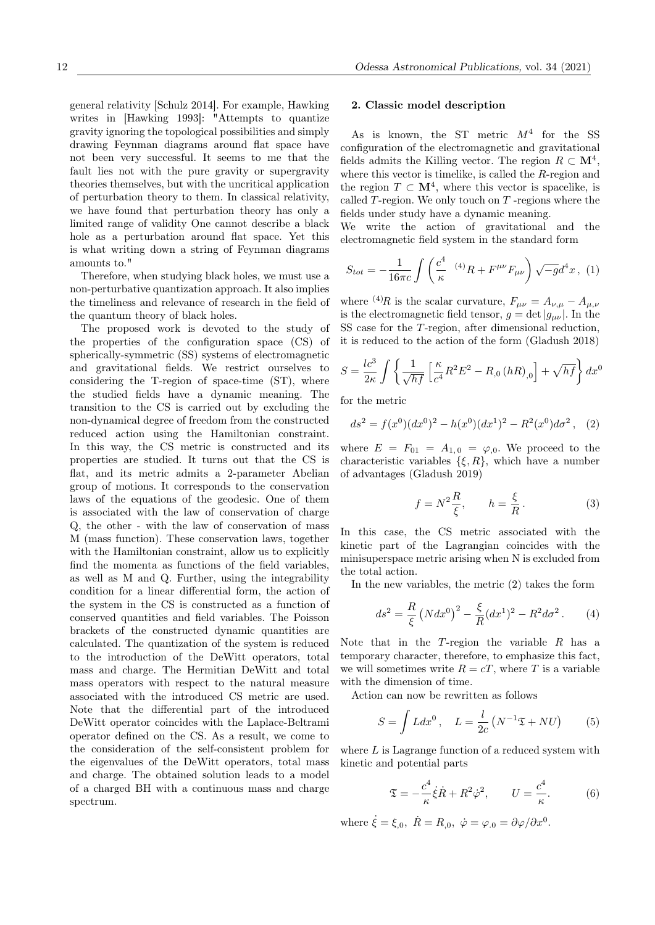general relativity [Schulz 2014]. For example, Hawking writes in [Hawking 1993]: "Attempts to quantize gravity ignoring the topological possibilities and simply drawing Feynman diagrams around flat space have not been very successful. It seems to me that the fault lies not with the pure gravity or supergravity theories themselves, but with the uncritical application of perturbation theory to them. In classical relativity, we have found that perturbation theory has only a limited range of validity One cannot describe a black hole as a perturbation around flat space. Yet this is what writing down a string of Feynman diagrams amounts to."

Therefore, when studying black holes, we must use a non-perturbative quantization approach. It also implies the timeliness and relevance of research in the field of the quantum theory of black holes.

The proposed work is devoted to the study of the properties of the configuration space (CS) of spherically-symmetric (SS) systems of electromagnetic and gravitational fields. We restrict ourselves to considering the T-region of space-time (ST), where the studied fields have a dynamic meaning. The transition to the CS is carried out by excluding the non-dynamical degree of freedom from the constructed reduced action using the Hamiltonian constraint. In this way, the CS metric is constructed and its properties are studied. It turns out that the CS is flat, and its metric admits a 2-parameter Abelian group of motions. It corresponds to the conservation laws of the equations of the geodesic. One of them is associated with the law of conservation of charge Q, the other - with the law of conservation of mass M (mass function). These conservation laws, together with the Hamiltonian constraint, allow us to explicitly find the momenta as functions of the field variables, as well as M and Q. Further, using the integrability condition for a linear differential form, the action of the system in the CS is constructed as a function of conserved quantities and field variables. The Poisson brackets of the constructed dynamic quantities are calculated. The quantization of the system is reduced to the introduction of the DeWitt operators, total mass and charge. The Hermitian DeWitt and total mass operators with respect to the natural measure associated with the introduced CS metric are used. Note that the differential part of the introduced DeWitt operator coincides with the Laplace-Beltrami operator defined on the CS. As a result, we come to the consideration of the self-consistent problem for the eigenvalues of the DeWitt operators, total mass and charge. The obtained solution leads to a model of a charged BH with a continuous mass and charge spectrum.

#### 2. Classic model description

As is known, the ST metric  $M^4$  for the SS configuration of the electromagnetic and gravitational fields admits the Killing vector. The region  $R \subset \mathbf{M}^4$ , where this vector is timelike, is called the R-region and the region  $T \subset \mathbf{M}^4$ , where this vector is spacelike, is called  $T$ -region. We only touch on  $T$ -regions where the fields under study have a dynamic meaning.

We write the action of gravitational and the electromagnetic field system in the standard form

$$
S_{tot} = -\frac{1}{16\pi c} \int \left(\frac{c^4}{\kappa} \, (4)R + F^{\mu\nu} F_{\mu\nu}\right) \sqrt{-g} d^4 x \,, \, (1)
$$

where <sup>(4)</sup>R is the scalar curvature,  $F_{\mu\nu} = A_{\nu,\mu} - A_{\mu,\nu}$ is the electromagnetic field tensor,  $g = \det|g_{\mu\nu}|$ . In the SS case for the T-region, after dimensional reduction, it is reduced to the action of the form (Gladush 2018)

$$
S = \frac{lc^3}{2\kappa} \int \left\{ \frac{1}{\sqrt{hf}} \left[ \frac{\kappa}{c^4} R^2 E^2 - R_{,0} (hR)_{,0} \right] + \sqrt{hf} \right\} dx^0
$$

for the metric

$$
ds^{2} = f(x^{0})(dx^{0})^{2} - h(x^{0})(dx^{1})^{2} - R^{2}(x^{0})d\sigma^{2}, \quad (2)
$$

where  $E = F_{01} = A_{1,0} = \varphi_{,0}$ . We proceed to the characteristic variables  $\{\xi, R\}$ , which have a number of advantages (Gladush 2019)

$$
f = N^2 \frac{R}{\xi}, \qquad h = \frac{\xi}{R}.
$$
 (3)

In this case, the CS metric associated with the kinetic part of the Lagrangian coincides with the minisuperspace metric arising when N is excluded from the total action.

In the new variables, the metric (2) takes the form

$$
ds^{2} = \frac{R}{\xi} \left( N dx^{0} \right)^{2} - \frac{\xi}{R} (dx^{1})^{2} - R^{2} d\sigma^{2}. \qquad (4)
$$

Note that in the  $T$ -region the variable  $R$  has a temporary character, therefore, to emphasize this fact, we will sometimes write  $R = cT$ , where T is a variable with the dimension of time.

Action can now be rewritten as follows

$$
S = \int Ldx^{0}, \quad L = \frac{l}{2c} \left( N^{-1} \mathfrak{T} + NU \right) \tag{5}
$$

where  $L$  is Lagrange function of a reduced system with kinetic and potential parts

$$
\mathfrak{T} = -\frac{c^4}{\kappa} \dot{\xi} \dot{R} + R^2 \dot{\varphi}^2, \qquad U = \frac{c^4}{\kappa}.
$$
 (6)

where  $\dot{\xi} = \xi_{,0}, \ \dot{R} = R_{,0}, \ \dot{\varphi} = \varphi_{,0} = \partial \varphi / \partial x^0.$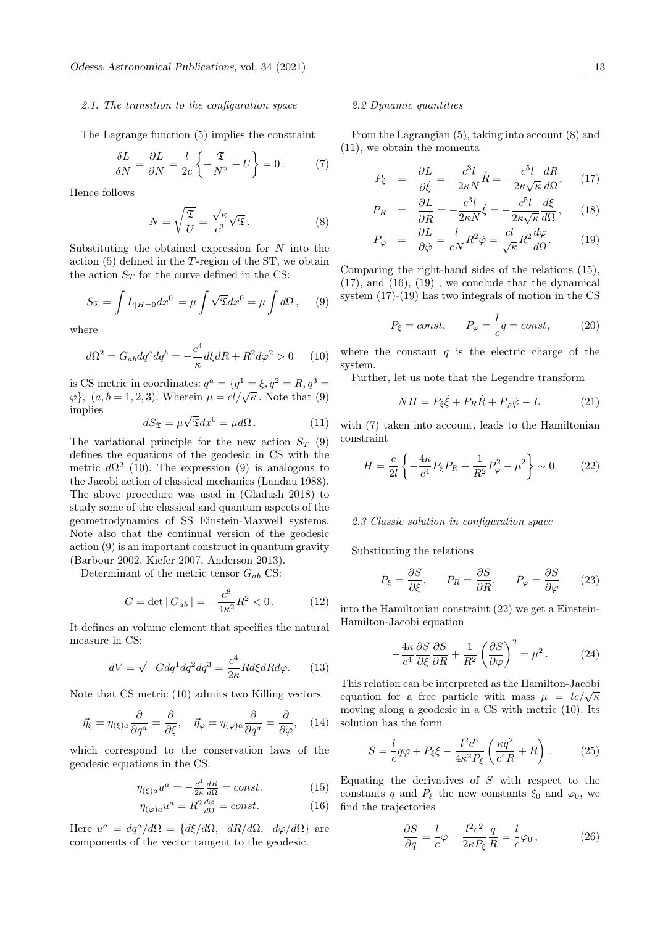#### 2.1. The transition to the configuration space

The Lagrange function (5) implies the constraint

$$
\frac{\delta L}{\delta N} = \frac{\partial L}{\partial N} = \frac{l}{2c} \left\{ -\frac{\mathfrak{T}}{N^2} + U \right\} = 0. \tag{7}
$$

Hence follows

$$
N = \sqrt{\frac{\mathfrak{T}}{U}} = \frac{\sqrt{\kappa}}{c^2} \sqrt{\mathfrak{T}}.
$$
 (8)

Substituting the obtained expression for  $N$  into the action  $(5)$  defined in the T-region of the ST, we obtain the action  $S_T$  for the curve defined in the CS:

$$
S_{\mathfrak{T}} = \int L_{|H=0} dx^0 = \mu \int \sqrt{\mathfrak{T}} dx^0 = \mu \int d\Omega , \quad (9)
$$

where

$$
d\Omega^2 = G_{ab} dq^a dq^b = -\frac{c^4}{\kappa} d\xi dR + R^2 d\varphi^2 > 0 \qquad (10)
$$

is CS metric in coordinates:  $q^a = \{q^1 = \xi, q^2 = R, q^3 =$ is CS metric in coordinates:  $q = \{q \in \mathcal{S}, q = n, q \in \mathcal{S}\}\$ ,  $(a, b = 1, 2, 3)$ . Wherein  $\mu = cl/\sqrt{\kappa}$ . Note that (9) implies √

$$
dS_{\mathfrak{T}} = \mu \sqrt{\mathfrak{T}} dx^0 = \mu d\Omega. \qquad (11)
$$

The variational principle for the new action  $S_T$  (9) defines the equations of the geodesic in CS with the metric  $d\Omega^2$  (10). The expression (9) is analogous to the Jacobi action of classical mechanics (Landau 1988). The above procedure was used in (Gladush 2018) to study some of the classical and quantum aspects of the geometrodynamics of SS Einstein-Maxwell systems. Note also that the continual version of the geodesic action (9) is an important construct in quantum gravity (Barbour 2002, Kiefer 2007, Anderson 2013).

Determinant of the metric tensor  $G_{ab}$  CS:

$$
G = \det ||G_{ab}|| = -\frac{c^8}{4\kappa^2} R^2 < 0. \tag{12}
$$

It defines an volume element that specifies the natural measure in CS:

$$
dV = \sqrt{-G}dq^1 dq^2 dq^3 = \frac{c^4}{2\kappa} Rd\xi dR d\varphi.
$$
 (13)

Note that CS metric (10) admits two Killing vectors

$$
\vec{\eta}_{\xi} = \eta_{(\xi)a} \frac{\partial}{\partial q^a} = \frac{\partial}{\partial \xi}, \quad \vec{\eta}_{\varphi} = \eta_{(\varphi)a} \frac{\partial}{\partial q^a} = \frac{\partial}{\partial \varphi}, \quad (14)
$$

which correspond to the conservation laws of the geodesic equations in the CS:

$$
\eta_{(\xi)a}u^a = -\frac{c^4}{2\kappa}\frac{dR}{d\Omega} = const.
$$
\n(15)

$$
\eta_{(\varphi)a}u^a = R^2 \frac{d\varphi}{d\Omega} = const.
$$
\n(16)

Here  $u^a = dq^a/d\Omega = \{d\xi/d\Omega, dR/d\Omega, d\varphi/d\Omega\}$  are components of the vector tangent to the geodesic.

#### 2.2 Dynamic quantities

From the Lagrangian (5), taking into account (8) and (11), we obtain the momenta

$$
P_{\xi} = \frac{\partial L}{\partial \dot{\xi}} = -\frac{c^3 l}{2\kappa N} \dot{R} = -\frac{c^5 l}{2\kappa \sqrt{\kappa}} \frac{dR}{d\Omega}, \quad (17)
$$

$$
P_R = \frac{\partial L}{\partial \dot{R}} = -\frac{c^3 l}{2\kappa N} \dot{\xi} = -\frac{c^5 l}{2\kappa \sqrt{\kappa}} \frac{d\xi}{d\Omega},\qquad(18)
$$

$$
P_{\varphi} = \frac{\partial L}{\partial \dot{\varphi}} = \frac{l}{cN} R^2 \dot{\varphi} = \frac{cl}{\sqrt{\kappa}} R^2 \frac{d\varphi}{d\Omega}.
$$
 (19)

Comparing the right-hand sides of the relations (15), (17), and (16), (19) , we conclude that the dynamical system (17)-(19) has two integrals of motion in the CS

$$
P_{\xi} = const, \qquad P_{\varphi} = \frac{l}{c}q = const,
$$
 (20)

where the constant  $q$  is the electric charge of the system.

Further, let us note that the Legendre transform

$$
NH = P_{\xi}\dot{\xi} + P_R\dot{R} + P_{\varphi}\dot{\varphi} - L \tag{21}
$$

with (7) taken into account, leads to the Hamiltonian constraint

$$
H = \frac{c}{2l} \left\{ -\frac{4\kappa}{c^4} P_{\xi} P_{R} + \frac{1}{R^2} P_{\varphi}^2 - \mu^2 \right\} \sim 0. \tag{22}
$$

#### 2.3 Classic solution in configuration space

Substituting the relations

$$
P_{\xi} = \frac{\partial S}{\partial \xi}, \qquad P_R = \frac{\partial S}{\partial R}, \qquad P_{\varphi} = \frac{\partial S}{\partial \varphi}
$$
 (23)

into the Hamiltonian constraint (22) we get a Einstein-Hamilton-Jacobi equation

$$
-\frac{4\kappa}{c^4} \frac{\partial S}{\partial \xi} \frac{\partial S}{\partial R} + \frac{1}{R^2} \left(\frac{\partial S}{\partial \varphi}\right)^2 = \mu^2.
$$
 (24)

This relation can be interpreted as the Hamilton-Jacobi equation for a free particle with mass  $\mu = lc/\sqrt{\kappa}$ moving along a geodesic in a CS with metric (10). Its solution has the form

$$
S = \frac{l}{c}q\varphi + P_{\xi}\xi - \frac{l^2c^6}{4\kappa^2P_{\xi}}\left(\frac{\kappa q^2}{c^4R} + R\right). \tag{25}
$$

Equating the derivatives of  $S$  with respect to the constants q and  $P_{\xi}$  the new constants  $\xi_0$  and  $\varphi_0$ , we find the trajectories

$$
\frac{\partial S}{\partial q} = \frac{l}{c}\varphi - \frac{l^2c^2}{2\kappa P_{\xi}}\frac{q}{R} = \frac{l}{c}\varphi_0\,,\tag{26}
$$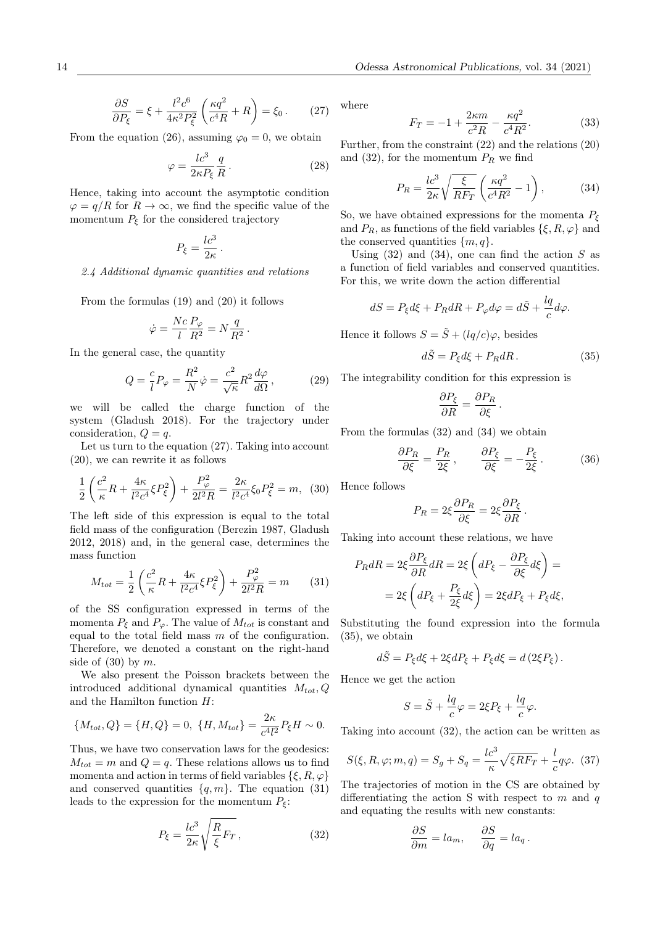$$
\frac{\partial S}{\partial P_{\xi}} = \xi + \frac{l^2 c^6}{4\kappa^2 P_{\xi}^2} \left(\frac{\kappa q^2}{c^4 R} + R\right) = \xi_0 \,. \tag{27}
$$

From the equation (26), assuming  $\varphi_0 = 0$ , we obtain

$$
\varphi = \frac{lc^3}{2\kappa P_\xi} \frac{q}{R} \,. \tag{28}
$$

Hence, taking into account the asymptotic condition  $\varphi = q/R$  for  $R \to \infty$ , we find the specific value of the momentum  $P_{\xi}$  for the considered trajectory

$$
P_\xi = \frac{l c^3}{2\kappa}
$$

.

#### 2.4 Additional dynamic quantities and relations

From the formulas (19) and (20) it follows

$$
\dot{\varphi} = \frac{Nc}{l} \frac{P_{\varphi}}{R^2} = N \frac{q}{R^2} \, .
$$

In the general case, the quantity

$$
Q = \frac{c}{l}P_{\varphi} = \frac{R^2}{N}\dot{\varphi} = \frac{c^2}{\sqrt{\kappa}}R^2\frac{d\varphi}{d\Omega},\qquad(29)
$$

we will be called the charge function of the system (Gladush 2018). For the trajectory under consideration,  $Q = q$ .

Let us turn to the equation (27). Taking into account (20), we can rewrite it as follows

$$
\frac{1}{2}\left(\frac{c^2}{\kappa}R + \frac{4\kappa}{l^2c^4}\xi P_\xi^2\right) + \frac{P_\varphi^2}{2l^2R} = \frac{2\kappa}{l^2c^4}\xi_0 P_\xi^2 = m,\tag{30}
$$

The left side of this expression is equal to the total field mass of the configuration (Berezin 1987, Gladush 2012, 2018) and, in the general case, determines the mass function

$$
M_{tot} = \frac{1}{2} \left( \frac{c^2}{\kappa} R + \frac{4\kappa}{l^2 c^4} \xi P_{\xi}^2 \right) + \frac{P_{\varphi}^2}{2l^2 R} = m \qquad (31)
$$

of the SS configuration expressed in terms of the momenta  $P_{\xi}$  and  $P_{\varphi}$ . The value of  $M_{tot}$  is constant and equal to the total field mass  $m$  of the configuration. Therefore, we denoted a constant on the right-hand side of  $(30)$  by m.

We also present the Poisson brackets between the introduced additional dynamical quantities  $M_{tot}$ ,  $Q$ and the Hamilton function H:

$$
\{M_{tot}, Q\} = \{H, Q\} = 0, \ \{H, M_{tot}\} = \frac{2\kappa}{c^4 l^2} P_{\xi} H \sim 0.
$$

Thus, we have two conservation laws for the geodesics:  $M_{tot} = m$  and  $Q = q$ . These relations allows us to find momenta and action in terms of field variables  $\{\xi, R, \varphi\}$ and conserved quantities  $\{q, m\}$ . The equation (31) leads to the expression for the momentum  $P_{\xi}$ :

$$
P_{\xi} = \frac{lc^3}{2\kappa} \sqrt{\frac{R}{\xi} F_T} , \qquad (32)
$$

where

$$
F_T = -1 + \frac{2\kappa m}{c^2 R} - \frac{\kappa q^2}{c^4 R^2}.
$$
 (33)

Further, from the constraint (22) and the relations (20) and (32), for the momentum  $P_R$  we find

$$
P_R = \frac{lc^3}{2\kappa} \sqrt{\frac{\xi}{RF_T}} \left(\frac{\kappa q^2}{c^4 R^2} - 1\right),\tag{34}
$$

So, we have obtained expressions for the momenta  $P_{\xi}$ and  $P_R$ , as functions of the field variables  $\{\xi, R, \varphi\}$  and the conserved quantities  $\{m, q\}.$ 

Using  $(32)$  and  $(34)$ , one can find the action S as a function of field variables and conserved quantities. For this, we write down the action differential

$$
dS = P_{\xi}d\xi + P_{R}dR + P_{\varphi}d\varphi = d\tilde{S} + \frac{lq}{c}d\varphi.
$$

Hence it follows  $S = \tilde{S} + (lq/c)\varphi$ , besides

$$
d\tilde{S} = P_{\xi}d\xi + P_{R}dR. \qquad (35)
$$

The integrability condition for this expression is

$$
\frac{\partial P_{\xi}}{\partial R} = \frac{\partial P_R}{\partial \xi}.
$$

From the formulas (32) and (34) we obtain

$$
\frac{\partial P_R}{\partial \xi} = \frac{P_R}{2\xi} \,, \qquad \frac{\partial P_{\xi}}{\partial \xi} = -\frac{P_{\xi}}{2\xi} \,. \tag{36}
$$

Hence follows

$$
P_R = 2\xi \frac{\partial P_R}{\partial \xi} = 2\xi \frac{\partial P_{\xi}}{\partial R}.
$$

Taking into account these relations, we have

$$
P_R dR = 2\xi \frac{\partial P_{\xi}}{\partial R} dR = 2\xi \left( dP_{\xi} - \frac{\partial P_{\xi}}{\partial \xi} d\xi \right) =
$$

$$
= 2\xi \left( dP_{\xi} + \frac{P_{\xi}}{2\xi} d\xi \right) = 2\xi dP_{\xi} + P_{\xi} d\xi,
$$

Substituting the found expression into the formula (35), we obtain

$$
d\tilde{S} = P_{\xi}d\xi + 2\xi dP_{\xi} + P_{\xi}d\xi = d\left(2\xi P_{\xi}\right).
$$

Hence we get the action

$$
S = \tilde{S} + \frac{lq}{c}\varphi = 2\xi P_{\xi} + \frac{lq}{c}\varphi.
$$

Taking into account (32), the action can be written as

$$
S(\xi, R, \varphi; m, q) = S_g + S_q = \frac{lc^3}{\kappa} \sqrt{\xi R F_T} + \frac{l}{c} q \varphi. \tag{37}
$$

The trajectories of motion in the CS are obtained by differentiating the action S with respect to  $m$  and  $q$ and equating the results with new constants:

$$
\frac{\partial S}{\partial m} = l a_m, \quad \frac{\partial S}{\partial q} = l a_q \, .
$$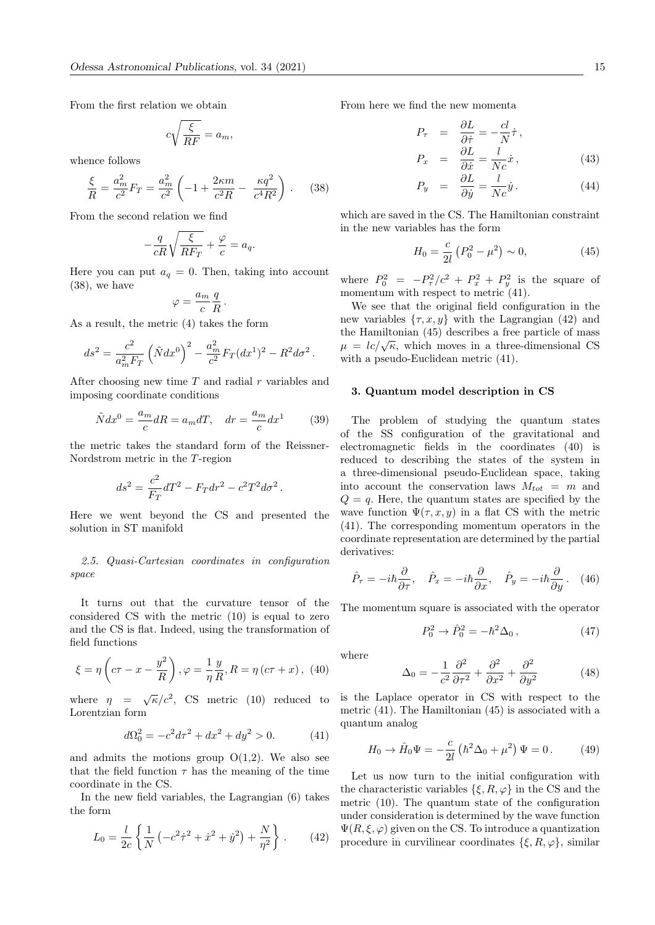From the first relation we obtain

$$
c\sqrt{\frac{\xi}{RF}} = a_m,
$$

whence follows

$$
\frac{\xi}{R} = \frac{a_m^2}{c^2} F_T = \frac{a_m^2}{c^2} \left( -1 + \frac{2\kappa m}{c^2 R} - \frac{\kappa q^2}{c^4 R^2} \right). \tag{38}
$$

From the second relation we find

$$
-\frac{q}{cR}\sqrt{\frac{\xi}{RF_T}} + \frac{\varphi}{c} = a_q.
$$

Here you can put  $a_q = 0$ . Then, taking into account (38), we have

$$
\varphi = \frac{a_m}{c} \frac{q}{R}
$$

.

As a result, the metric (4) takes the form

$$
ds^{2} = \frac{c^{2}}{a_{m}^{2}F_{T}} \left(\tilde{N}dx^{0}\right)^{2} - \frac{a_{m}^{2}}{c^{2}}F_{T}(dx^{1})^{2} - R^{2}d\sigma^{2}.
$$

After choosing new time  $T$  and radial  $r$  variables and imposing coordinate conditions

$$
\tilde{N}dx^{0} = \frac{a_{m}}{c}dR = a_{m}dT, \quad dr = \frac{a_{m}}{c}dx^{1}
$$
 (39)

the metric takes the standard form of the Reissner-Nordstrom metric in the T-region

$$
ds^{2} = \frac{c^{2}}{F_{T}}dT^{2} - F_{T}dr^{2} - c^{2}T^{2}d\sigma^{2}.
$$

Here we went beyond the CS and presented the solution in ST manifold

2.5. Quasi-Cartesian coordinates in configuration space

It turns out that the curvature tensor of the considered CS with the metric (10) is equal to zero and the CS is flat. Indeed, using the transformation of field functions

$$
\xi = \eta \left( c\tau - x - \frac{y^2}{R} \right), \varphi = \frac{1}{\eta} \frac{y}{R}, R = \eta \left( c\tau + x \right), (40)
$$

where  $\eta = \sqrt{\kappa/c^2}$ , CS metric (10) reduced to Lorentzian form

$$
d\Omega_0^2 = -c^2 d\tau^2 + dx^2 + dy^2 > 0.
$$
 (41)

and admits the motions group  $O(1,2)$ . We also see that the field function  $\tau$  has the meaning of the time coordinate in the CS.

In the new field variables, the Lagrangian (6) takes the form

$$
L_0 = \frac{l}{2c} \left\{ \frac{1}{N} \left( -c^2 \dot{\tau}^2 + \dot{x}^2 + \dot{y}^2 \right) + \frac{N}{\eta^2} \right\} . \tag{42}
$$

From here we find the new momenta

$$
P_{\tau} = \frac{\partial L}{\partial \dot{\tau}} = -\frac{cl}{N} \dot{\tau},
$$
  
\n
$$
P_x = \frac{\partial L}{\partial \dot{x}} = \frac{l}{Nc} \dot{x},
$$
\n(43)

$$
P_y = \frac{\partial L}{\partial \dot{y}} = \frac{l}{Nc} \dot{y}.
$$
 (44)

which are saved in the CS. The Hamiltonian constraint in the new variables has the form

$$
H_0 = \frac{c}{2l} \left( P_0^2 - \mu^2 \right) \sim 0, \tag{45}
$$

where  $P_0^2 = -P_{\tau}^2/c^2 + P_x^2 + P_y^2$  is the square of momentum with respect to metric  $(41)$ .

We see that the original field configuration in the new variables  $\{\tau, x, y\}$  with the Lagrangian (42) and the Hamiltonian (45) describes a free particle of mass the Hammonian (45) describes a nee particle of mass<br> $\mu = lc/\sqrt{\kappa}$ , which moves in a three-dimensional CS with a pseudo-Euclidean metric (41).

#### 3. Quantum model description in CS

The problem of studying the quantum states of the SS configuration of the gravitational and electromagnetic fields in the coordinates (40) is reduced to describing the states of the system in a three-dimensional pseudo-Euclidean space, taking into account the conservation laws  $M_{tot} = m$  and  $Q = q$ . Here, the quantum states are specified by the wave function  $\Psi(\tau, x, y)$  in a flat CS with the metric (41). The corresponding momentum operators in the coordinate representation are determined by the partial derivatives:

$$
\hat{P}_{\tau} = -i\hbar \frac{\partial}{\partial \tau}, \quad \hat{P}_x = -i\hbar \frac{\partial}{\partial x}, \quad \hat{P}_y = -i\hbar \frac{\partial}{\partial y}. \quad (46)
$$

The momentum square is associated with the operator

$$
P_0^2 \to \hat{P}_0^2 = -\hbar^2 \Delta_0 \,, \tag{47}
$$

where

$$
\Delta_0 = -\frac{1}{c^2} \frac{\partial^2}{\partial \tau^2} + \frac{\partial^2}{\partial x^2} + \frac{\partial^2}{\partial y^2}
$$
 (48)

is the Laplace operator in CS with respect to the metric (41). The Hamiltonian (45) is associated with a quantum analog

$$
H_0 \to \hat{H}_0 \Psi = -\frac{c}{2l} \left( \hbar^2 \Delta_0 + \mu^2 \right) \Psi = 0. \tag{49}
$$

Let us now turn to the initial configuration with the characteristic variables  $\{\xi, R, \varphi\}$  in the CS and the metric (10). The quantum state of the configuration under consideration is determined by the wave function  $\Psi(R,\xi,\varphi)$  given on the CS. To introduce a quantization procedure in curvilinear coordinates  $\{\xi, R, \varphi\}$ , similar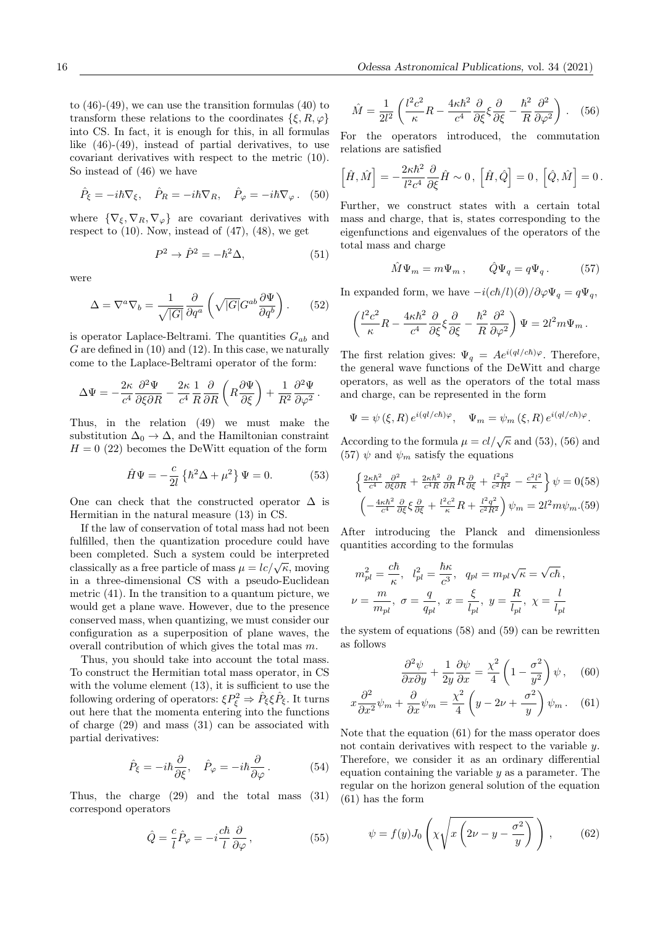to  $(46)-(49)$ , we can use the transition formulas  $(40)$  to transform these relations to the coordinates  $\{\xi, R, \varphi\}$ into CS. In fact, it is enough for this, in all formulas like (46)-(49), instead of partial derivatives, to use covariant derivatives with respect to the metric (10). So instead of (46) we have

$$
\hat{P}_{\xi} = -i\hbar \nabla_{\xi}, \quad \hat{P}_{R} = -i\hbar \nabla_{R}, \quad \hat{P}_{\varphi} = -i\hbar \nabla_{\varphi}.
$$
 (50)

where  $\{\nabla_{\xi}, \nabla_{R}, \nabla_{\varphi}\}\$  are covariant derivatives with respect to  $(10)$ . Now, instead of  $(47)$ ,  $(48)$ , we get

$$
P^2 \to \hat{P}^2 = -\hbar^2 \Delta,\tag{51}
$$

were

$$
\Delta = \nabla^a \nabla_b = \frac{1}{\sqrt{|G|}} \frac{\partial}{\partial q^a} \left( \sqrt{|G|} G^{ab} \frac{\partial \Psi}{\partial q^b} \right). \tag{52}
$$

is operator Laplace-Beltrami. The quantities  $G_{ab}$  and  $G$  are defined in  $(10)$  and  $(12)$ . In this case, we naturally come to the Laplace-Beltrami operator of the form:

$$
\Delta\Psi=-\frac{2\kappa}{c^4}\frac{\partial^2\Psi}{\partial\xi\partial R}-\frac{2\kappa}{c^4}\frac{1}{R}\frac{\partial}{\partial R}\left(R\frac{\partial\Psi}{\partial\xi}\right)+\frac{1}{R^2}\frac{\partial^2\Psi}{\partial\varphi^2}\,.
$$

Thus, in the relation (49) we must make the substitution  $\Delta_0 \rightarrow \Delta$ , and the Hamiltonian constraint  $H = 0$  (22) becomes the DeWitt equation of the form

$$
\hat{H}\Psi = -\frac{c}{2l} \left\{ \hbar^2 \Delta + \mu^2 \right\} \Psi = 0. \tag{53}
$$

One can check that the constructed operator  $\Delta$  is Hermitian in the natural measure (13) in CS.

If the law of conservation of total mass had not been fulfilled, then the quantization procedure could have been completed. Such a system could be interpreted been completed. Such a system could be interpreted<br>classically as a free particle of mass  $\mu = lc/\sqrt{\kappa}$ , moving in a three-dimensional CS with a pseudo-Euclidean metric (41). In the transition to a quantum picture, we would get a plane wave. However, due to the presence conserved mass, when quantizing, we must consider our configuration as a superposition of plane waves, the overall contribution of which gives the total mas m.

Thus, you should take into account the total mass. To construct the Hermitian total mass operator, in CS with the volume element  $(13)$ , it is sufficient to use the following ordering of operators:  $\xi P_{\xi}^2 \Rightarrow \hat{P}_{\xi} \xi \hat{P}_{\xi}$ . It turns out here that the momenta entering into the functions of charge (29) and mass (31) can be associated with partial derivatives:

$$
\hat{P}_{\xi} = -i\hbar \frac{\partial}{\partial \xi}, \quad \hat{P}_{\varphi} = -i\hbar \frac{\partial}{\partial \varphi}.
$$
 (54)

Thus, the charge (29) and the total mass (31) correspond operators

$$
\hat{Q} = \frac{c}{l}\hat{P}_{\varphi} = -i\frac{c\hbar}{l}\frac{\partial}{\partial\varphi},\qquad(55)
$$

$$
\hat{M} = \frac{1}{2l^2} \left( \frac{l^2 c^2}{\kappa} R - \frac{4\kappa \hbar^2}{c^4} \frac{\partial}{\partial \xi} \xi \frac{\partial}{\partial \xi} - \frac{\hbar^2}{R} \frac{\partial^2}{\partial \varphi^2} \right). \quad (56)
$$

For the operators introduced, the commutation relations are satisfied

$$
\left[\hat{H},\hat{M}\right] = -\frac{2\kappa\hbar^2}{l^2c^4}\frac{\partial}{\partial \xi}\hat{H} \sim 0, \left[\hat{H},\hat{Q}\right] = 0, \left[\hat{Q},\hat{M}\right] = 0.
$$

Further, we construct states with a certain total mass and charge, that is, states corresponding to the eigenfunctions and eigenvalues of the operators of the total mass and charge

$$
\hat{M}\Psi_m = m\Psi_m \,, \qquad \hat{Q}\Psi_q = q\Psi_q \,. \tag{57}
$$

In expanded form, we have  $-i(c\hbar/l)(\partial)/\partial \varphi \Psi_q = q\Psi_q$ ,

$$
\left(\frac{l^2c^2}{\kappa}R - \frac{4\kappa\hbar^2}{c^4}\frac{\partial}{\partial\xi}\xi\frac{\partial}{\partial\xi} - \frac{\hbar^2}{R}\frac{\partial^2}{\partial\varphi^2}\right)\Psi = 2l^2m\Psi_m.
$$

The first relation gives:  $\Psi_q = Ae^{i(ql/c\hbar)\varphi}$ . Therefore, the general wave functions of the DeWitt and charge operators, as well as the operators of the total mass and charge, can be represented in the form

$$
\Psi = \psi (\xi, R) e^{i(ql/c\hbar)\varphi}, \quad \Psi_m = \psi_m (\xi, R) e^{i(ql/c\hbar)\varphi}.
$$

According to the formula  $\mu = cl/\sqrt{\kappa}$  and (53), (56) and (57)  $\psi$  and  $\psi_m$  satisfy the equations

$$
\begin{aligned}\n\left\{\frac{2\kappa\hbar^2}{c^4}\frac{\partial^2}{\partial\xi\partial R} + \frac{2\kappa\hbar^2}{c^4R}\frac{\partial}{\partial R}R\frac{\partial}{\partial\xi} + \frac{l^2q^2}{c^2R^2} - \frac{c^2l^2}{\kappa}\right\}\psi &= 0(58) \\
\left(-\frac{4\kappa\hbar^2}{c^4}\frac{\partial}{\partial\xi}\xi\frac{\partial}{\partial\xi} + \frac{l^2c^2}{\kappa}R + \frac{l^2q^2}{c^2R^2}\right)\psi_m &= 2l^2m\psi_m. \n\end{aligned}
$$

After introducing the Planck and dimensionless quantities according to the formulas

$$
\begin{aligned} m_{pl}^2&=\frac{c\hbar}{\kappa},~~l_{pl}^2=\frac{\hbar\kappa}{c^3},~~q_{pl}=m_{pl}\sqrt{\kappa}=\sqrt{c\hbar}\,,\\ \nu&=\frac{m}{m_{pl}},~\sigma=\frac{q}{q_{pl}},~x=\frac{\xi}{l_{pl}},~y=\frac{R}{l_{pl}},~\chi=\frac{l}{l_{pl}} \end{aligned}
$$

the system of equations (58) and (59) can be rewritten as follows

$$
\frac{\partial^2 \psi}{\partial x \partial y} + \frac{1}{2y} \frac{\partial \psi}{\partial x} = \frac{\chi^2}{4} \left( 1 - \frac{\sigma^2}{y^2} \right) \psi \,, \quad (60)
$$

$$
x\frac{\partial^2}{\partial x^2}\psi_m + \frac{\partial}{\partial x}\psi_m = \frac{\chi^2}{4}\left(y - 2\nu + \frac{\sigma^2}{y}\right)\psi_m. \quad (61)
$$

Note that the equation (61) for the mass operator does not contain derivatives with respect to the variable  $u$ . Therefore, we consider it as an ordinary differential equation containing the variable  $y$  as a parameter. The regular on the horizon general solution of the equation (61) has the form

$$
\psi = f(y)J_0\left(\chi\sqrt{x\left(2\nu - y - \frac{\sigma^2}{y}\right)}\right),\qquad(62)
$$